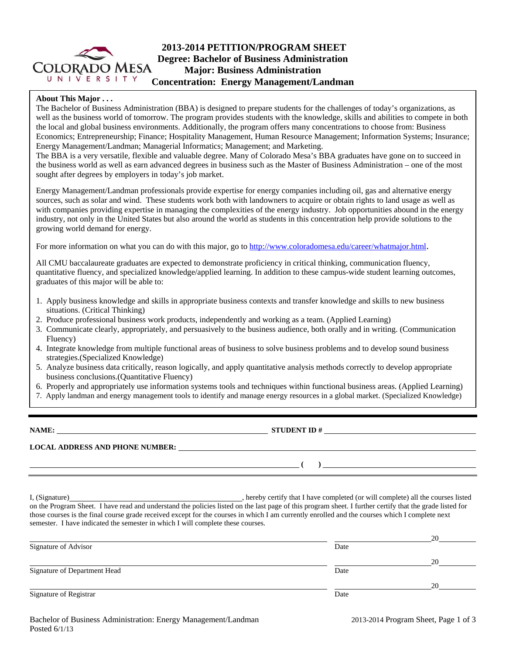

### **About This Major . . .**

The Bachelor of Business Administration (BBA) is designed to prepare students for the challenges of today's organizations, as well as the business world of tomorrow. The program provides students with the knowledge, skills and abilities to compete in both the local and global business environments. Additionally, the program offers many concentrations to choose from: Business Economics; Entrepreneurship; Finance; Hospitality Management, Human Resource Management; Information Systems; Insurance; Energy Management/Landman; Managerial Informatics; Management; and Marketing.

The BBA is a very versatile, flexible and valuable degree. Many of Colorado Mesa's BBA graduates have gone on to succeed in the business world as well as earn advanced degrees in business such as the Master of Business Administration – one of the most sought after degrees by employers in today's job market.

Energy Management/Landman professionals provide expertise for energy companies including oil, gas and alternative energy sources, such as solar and wind. These students work both with landowners to acquire or obtain rights to land usage as well as with companies providing expertise in managing the complexities of the energy industry. Job opportunities abound in the energy industry, not only in the United States but also around the world as students in this concentration help provide solutions to the growing world demand for energy.

For more information on what you can do with this major, go to http://www.coloradomesa.edu/career/whatmajor.html.

All CMU baccalaureate graduates are expected to demonstrate proficiency in critical thinking, communication fluency, quantitative fluency, and specialized knowledge/applied learning. In addition to these campus-wide student learning outcomes, graduates of this major will be able to:

- 1. Apply business knowledge and skills in appropriate business contexts and transfer knowledge and skills to new business situations. (Critical Thinking)
- 2. Produce professional business work products, independently and working as a team. (Applied Learning)
- 3. Communicate clearly, appropriately, and persuasively to the business audience, both orally and in writing. (Communication Fluency)
- 4. Integrate knowledge from multiple functional areas of business to solve business problems and to develop sound business strategies.(Specialized Knowledge)
- 5. Analyze business data critically, reason logically, and apply quantitative analysis methods correctly to develop appropriate business conclusions.(Quantitative Fluency)
- 6. Properly and appropriately use information systems tools and techniques within functional business areas. (Applied Learning)
- 7. Apply landman and energy management tools to identify and manage energy resources in a global market. (Specialized Knowledge)

**NAME: STUDENT ID # STUDENT ID # STUDENT ID # STUDENT ID # STUDENT ID # STUDENT ID # STUDENT ID # STUDENT ID # STUDENT ID # STUDENT ID # STUDENT ID # STUDENT ID # STUDENT ID # STUDENT ID # STU** 

 **( )** 

**LOCAL ADDRESS AND PHONE NUMBER:**

I, (Signature) **Source** and the completed (or will completed (or will complete) all the courses listed on the Program Sheet. I have read and understand the policies listed on the last page of this program sheet. I further certify that the grade listed for those courses is the final course grade received except for the courses in which I am currently enrolled and the courses which I complete next semester. I have indicated the semester in which I will complete these courses.

|                              |      | 20 |
|------------------------------|------|----|
| Signature of Advisor         | Date |    |
|                              |      | 20 |
| Signature of Department Head | Date |    |
|                              |      | 20 |
| Signature of Registrar       | Date |    |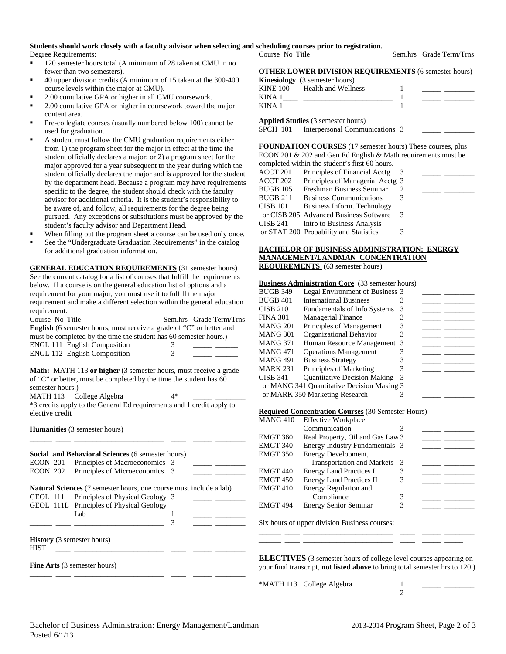## **Students should work closely with a faculty advisor when selecting and scheduling courses prior to registration.**

Degree Requirements:

- 120 semester hours total (A minimum of 28 taken at CMU in no fewer than two semesters).
- 40 upper division credits (A minimum of 15 taken at the 300-400 course levels within the major at CMU).
- 2.00 cumulative GPA or higher in all CMU coursework.
- 2.00 cumulative GPA or higher in coursework toward the major content area.
- Pre-collegiate courses (usually numbered below 100) cannot be used for graduation.
- A student must follow the CMU graduation requirements either from 1) the program sheet for the major in effect at the time the student officially declares a major; or 2) a program sheet for the major approved for a year subsequent to the year during which the student officially declares the major and is approved for the student by the department head. Because a program may have requirements specific to the degree, the student should check with the faculty advisor for additional criteria. It is the student's responsibility to be aware of, and follow, all requirements for the degree being pursued. Any exceptions or substitutions must be approved by the student's faculty advisor and Department Head.
- When filling out the program sheet a course can be used only once.
- See the "Undergraduate Graduation Requirements" in the catalog for additional graduation information.

**GENERAL EDUCATION REQUIREMENTS** (31 semester hours) See the current catalog for a list of courses that fulfill the requirements below. If a course is on the general education list of options and a requirement for your major, you must use it to fulfill the major requirement and make a different selection within the general education requirement. Course No Title Sem.hrs Grade Term/Trns

| <b>English</b> (6 semester hours, must receive a grade of "C" or better and |          |
|-----------------------------------------------------------------------------|----------|
| must be completed by the time the student has 60 semester hours.)           |          |
| <b>ENGL 111 English Composition</b>                                         | $\Delta$ |
| <b>ENGL 112 English Composition</b>                                         | к        |

**Math:** MATH 113 or higher (3 semester hours, must receive a grade of "C" or better, must be completed by the time the student has 60 semester hours.)

MATH 113 College Algebra 4\*

\*3 credits apply to the General Ed requirements and 1 credit apply to elective credit

\_\_\_\_\_\_ \_\_\_\_ \_\_\_\_\_\_\_\_\_\_\_\_\_\_\_\_\_\_\_\_\_\_\_\_ \_\_\_\_ \_\_\_\_\_ \_\_\_\_\_\_\_\_

**Humanities** (3 semester hours)

|                                           | <b>Social and Behavioral Sciences</b> (6 semester hours)                  |  |  |
|-------------------------------------------|---------------------------------------------------------------------------|--|--|
|                                           | ECON 201 Principles of Macroeconomics 3                                   |  |  |
|                                           | ECON 202 Principles of Microeconomics 3                                   |  |  |
|                                           | <b>Natural Sciences</b> (7 semester hours, one course must include a lab) |  |  |
|                                           | GEOL 111 Principles of Physical Geology 3                                 |  |  |
|                                           | GEOL 111L Principles of Physical Geology                                  |  |  |
|                                           | Lab.                                                                      |  |  |
|                                           |                                                                           |  |  |
| <b>History</b> (3 semester hours)<br>HIST | <b>Fine Arts</b> (3 semester hours)                                       |  |  |

| <b>OTHER LOWER DIVISION REQUIREMENTS (6 semester hours)</b> |  |  |
|-------------------------------------------------------------|--|--|
| <b>Kinesiology</b> (3 semester hours)                       |  |  |
| KINE 100 Health and Wellness                                |  |  |
| KINA 1                                                      |  |  |
| KINA 1                                                      |  |  |

**Applied Studies** (3 semester hours)

SPCH 101 Interpersonal Communications 3

**FOUNDATION COURSES** (17 semester hours) These courses, plus ECON 201 & 202 and Gen Ed English & Math requirements must be completed within the student's first 60 hours.

|                 | completed within the student's first ob hours. |   |  |
|-----------------|------------------------------------------------|---|--|
| ACCT 201        | Principles of Financial Acctg                  |   |  |
| ACCT 202        | Principles of Managerial Acctg 3               |   |  |
| <b>BUGB 105</b> | Freshman Business Seminar                      |   |  |
| <b>BUGB 211</b> | <b>Business Communications</b>                 |   |  |
| <b>CISB 101</b> | Business Inform. Technology                    |   |  |
|                 | or CISB 205 Advanced Business Software         | 3 |  |
| CISB 241        | Intro to Business Analysis                     |   |  |
|                 | or STAT 200 Probability and Statistics         |   |  |
|                 |                                                |   |  |

#### **BACHELOR OF BUSINESS ADMINISTRATION: ENERGY MANAGEMENT/LANDMAN CONCENTRATION REQUIREMENTS** (63 semester hours)

#### **Business Administration Core** (33 semester hours)

| BUGB 349 | Legal Environment of Business 3            |  |  |
|----------|--------------------------------------------|--|--|
| BUGB 401 | <b>International Business</b>              |  |  |
| CISB 210 | <b>Fundamentals of Info Systems</b>        |  |  |
| FINA 301 | <b>Managerial Finance</b>                  |  |  |
| MANG 201 | Principles of Management                   |  |  |
| MANG 301 | Organizational Behavior                    |  |  |
| MANG 371 | Human Resource Management 3                |  |  |
| MANG 471 | <b>Operations Management</b>               |  |  |
| MANG 491 | <b>Business Strategy</b>                   |  |  |
| MARK 231 | Principles of Marketing                    |  |  |
| CISB 341 | <b>Quantitative Decision Making</b>        |  |  |
|          | or MANG 341 Quantitative Decision Making 3 |  |  |
|          | or MARK 350 Marketing Research             |  |  |
|          |                                            |  |  |

#### **Required Concentration Courses** (30 Semester Hours)

| MANG 410 | <b>Effective Workplace</b>        |   |  |
|----------|-----------------------------------|---|--|
|          | Communication                     |   |  |
| EMGT 360 | Real Property, Oil and Gas Law 3  |   |  |
| EMGT 340 | Energy Industry Fundamentals 3    |   |  |
| EMGT 350 | Energy Development,               |   |  |
|          | <b>Transportation and Markets</b> | 3 |  |
| EMGT 440 | <b>Energy Land Practices I</b>    |   |  |
| EMGT 450 | <b>Energy Land Practices II</b>   |   |  |
| EMGT 410 | Energy Regulation and             |   |  |
|          | Compliance                        | 3 |  |
| EMGT 494 | <b>Energy Senior Seminar</b>      |   |  |
|          |                                   |   |  |

Six hours of upper division Business courses:

**ELECTIVES** (3 semester hours of college level courses appearing on your final transcript, **not listed above** to bring total semester hrs to 120.)

\_\_\_\_\_\_ \_\_\_\_ \_\_\_\_\_\_\_\_\_\_\_\_\_\_\_\_\_\_\_\_\_\_\_\_ \_\_\_\_ \_\_\_\_\_ \_\_\_\_\_\_\_\_ \_\_\_\_\_\_ \_\_\_\_ \_\_\_\_\_\_\_\_\_\_\_\_\_\_\_\_\_\_\_\_\_\_\_\_ \_\_\_\_ \_\_\_\_\_ \_\_\_\_\_

\*MATH 113 College Algebra 1

Course No Title Sem.hrs Grade Term/Trns